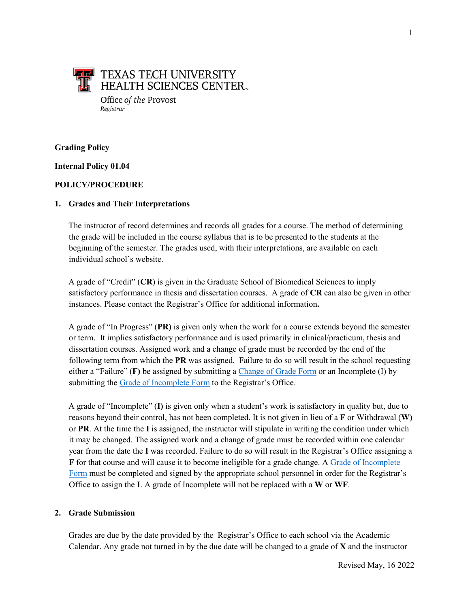

## **Grading Policy**

**Internal Policy 01.04** 

#### **POLICY/PROCEDURE**

#### **1. Grades and Their Interpretations**

The instructor of record determines and records all grades for a course. The method of determining the grade will be included in the course syllabus that is to be presented to the students at the beginning of the semester. The grades used, with their interpretations, are available on each individual school's website.

A grade of "Credit" (**CR**) is given in the Graduate School of Biomedical Sciences to imply satisfactory performance in thesis and dissertation courses. A grade of **CR** can also be given in other instances. Please contact the Registrar's Office for additional information**.**

A grade of "In Progress" (**PR)** is given only when the work for a course extends beyond the semester or term. It implies satisfactory performance and is used primarily in clinical/practicum, thesis and dissertation courses. Assigned work and a change of grade must be recorded by the end of the following term from which the **PR** was assigned. Failure to do so will result in the school requesting either a "Failure" (**F)** be assigned by submitting a [Change of Grade Form](https://www.ttuhsc.edu/registrar/documents/gradechangerevisedjuly.pdf) or an Incomplete (I) by submitting th[e Grade of Incomplete Form](https://www.ttuhsc.edu/registrar/documents/Incomplete_Grade_Form51622.pdf) to the Registrar's Office.

A grade of "Incomplete" (**I)** is given only when a student's work is satisfactory in quality but, due to reasons beyond their control, has not been completed. It is not given in lieu of a **F** or Withdrawal (**W)** or **PR**. At the time the **I** is assigned, the instructor will stipulate in writing the condition under which it may be changed. The assigned work and a change of grade must be recorded within one calendar year from the date the **I** was recorded. Failure to do so will result in the Registrar's Office assigning a **F** for that course and will cause it to become ineligible for a grade change. A [Grade of Incomplete](https://www.ttuhsc.edu/registrar/documents/Incomplete_Grade_Form51622.pdf)  [Form](https://www.ttuhsc.edu/registrar/documents/GradeofIncompletetwentytwenty.pdf) must be completed and signed by the appropriate school personnel in order for the Registrar's Office to assign the **I**. A grade of Incomplete will not be replaced with a **W** or **WF**.

### **2. Grade Submission**

Grades are due by the date provided by the Registrar's Office to each school via the Academic Calendar. Any grade not turned in by the due date will be changed to a grade of **X** and the instructor